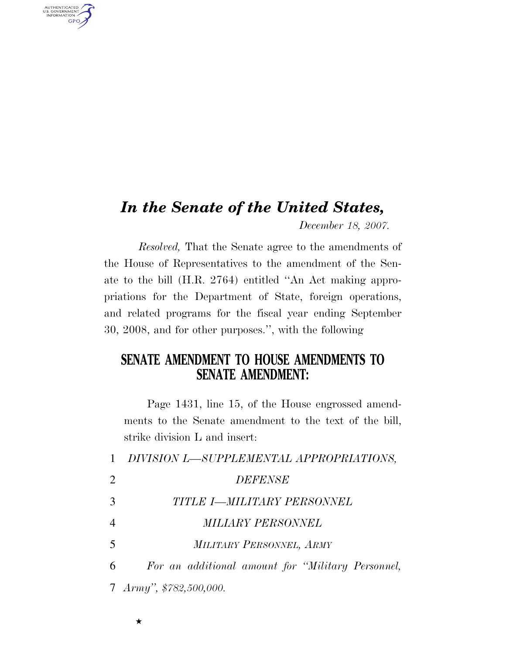## *In the Senate of the United States, December 18, 2007.*

*Resolved,* That the Senate agree to the amendments of the House of Representatives to the amendment of the Senate to the bill (H.R. 2764) entitled ''An Act making appropriations for the Department of State, foreign operations, and related programs for the fiscal year ending September 30, 2008, and for other purposes.'', with the following

## **SENATE AMENDMENT TO HOUSE AMENDMENTS TO SENATE AMENDMENT:**

Page 1431, line 15, of the House engrossed amendments to the Senate amendment to the text of the bill, strike division L and insert:

|   | 1 DIVISION L-SUPPLEMENTAL APPROPRIATIONS,         |
|---|---------------------------------------------------|
| 2 | <b>DEFENSE</b>                                    |
| 3 | TITLE I-MILITARY PERSONNEL                        |
| 4 | <i>MILIARY PERSONNEL</i>                          |
| 5 | MILITARY PERSONNEL, ARMY                          |
| 6 | For an additional amount for "Military Personnel, |
|   | 7 Army", \$782,500,000.                           |

AUTHENTICATED<br>U.S. GOVERNMENT<br>INFORMATION **GPO**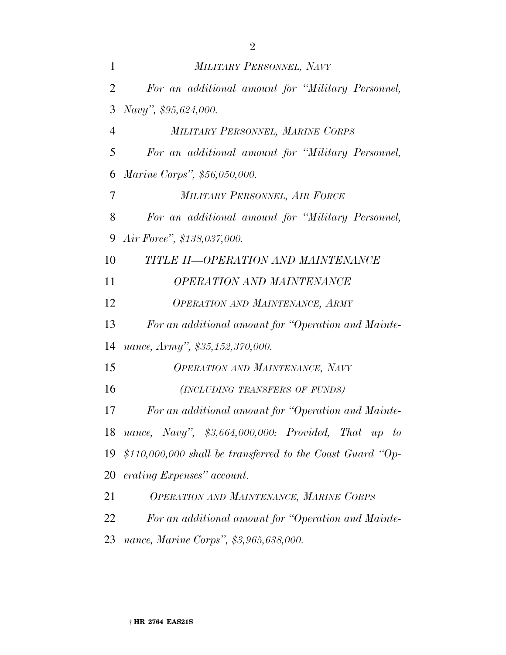| 1              | MILITARY PERSONNEL, NAVY                                   |  |  |  |  |  |
|----------------|------------------------------------------------------------|--|--|--|--|--|
| $\overline{2}$ | For an additional amount for "Military Personnel,          |  |  |  |  |  |
| 3              | Navy", \$95,624,000.                                       |  |  |  |  |  |
| $\overline{4}$ | MILITARY PERSONNEL, MARINE CORPS                           |  |  |  |  |  |
| 5              | For an additional amount for "Military Personnel,          |  |  |  |  |  |
| 6              | Marine Corps", \$56,050,000.                               |  |  |  |  |  |
| 7              | MILITARY PERSONNEL, AIR FORCE                              |  |  |  |  |  |
| 8              | For an additional amount for "Military Personnel,          |  |  |  |  |  |
| 9              | Air Force", \$138,037,000.                                 |  |  |  |  |  |
| 10             | TITLE II-OPERATION AND MAINTENANCE                         |  |  |  |  |  |
| 11             | <b>OPERATION AND MAINTENANCE</b>                           |  |  |  |  |  |
| 12             | <b>OPERATION AND MAINTENANCE, ARMY</b>                     |  |  |  |  |  |
| 13             | For an additional amount for "Operation and Mainte-        |  |  |  |  |  |
| 14             | nance, Army", \$35,152,370,000.                            |  |  |  |  |  |
| 15             | <b>OPERATION AND MAINTENANCE, NAVY</b>                     |  |  |  |  |  |
| 16             | (INCLUDING TRANSFERS OF FUNDS)                             |  |  |  |  |  |
| 17             | For an additional amount for "Operation and Mainte-        |  |  |  |  |  |
|                | 18 nance, Navy", \$3,664,000,000: Provided, That up to     |  |  |  |  |  |
| 19             | \$110,000,000 shall be transferred to the Coast Guard "Op- |  |  |  |  |  |
| 20             | erating Expenses" account.                                 |  |  |  |  |  |
| 21             | OPERATION AND MAINTENANCE, MARINE CORPS                    |  |  |  |  |  |
| 22             | For an additional amount for "Operation and Mainte-        |  |  |  |  |  |
|                |                                                            |  |  |  |  |  |

*nance, Marine Corps'', \$3,965,638,000.*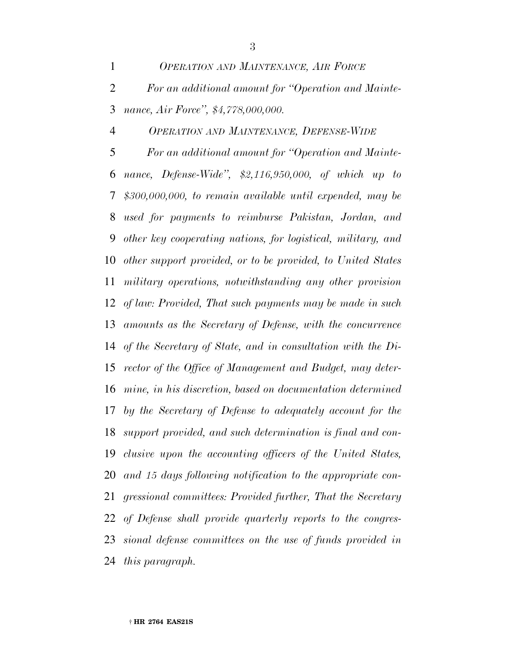*OPERATION AND MAINTENANCE, AIR FORCE For an additional amount for ''Operation and Mainte-nance, Air Force'', \$4,778,000,000.*

*OPERATION AND MAINTENANCE, DEFENSE-WIDE*

 *For an additional amount for ''Operation and Mainte- nance, Defense-Wide'', \$2,116,950,000, of which up to \$300,000,000, to remain available until expended, may be used for payments to reimburse Pakistan, Jordan, and other key cooperating nations, for logistical, military, and other support provided, or to be provided, to United States military operations, notwithstanding any other provision of law: Provided, That such payments may be made in such amounts as the Secretary of Defense, with the concurrence of the Secretary of State, and in consultation with the Di- rector of the Office of Management and Budget, may deter- mine, in his discretion, based on documentation determined by the Secretary of Defense to adequately account for the support provided, and such determination is final and con- clusive upon the accounting officers of the United States, and 15 days following notification to the appropriate con- gressional committees: Provided further, That the Secretary of Defense shall provide quarterly reports to the congres- sional defense committees on the use of funds provided in this paragraph.*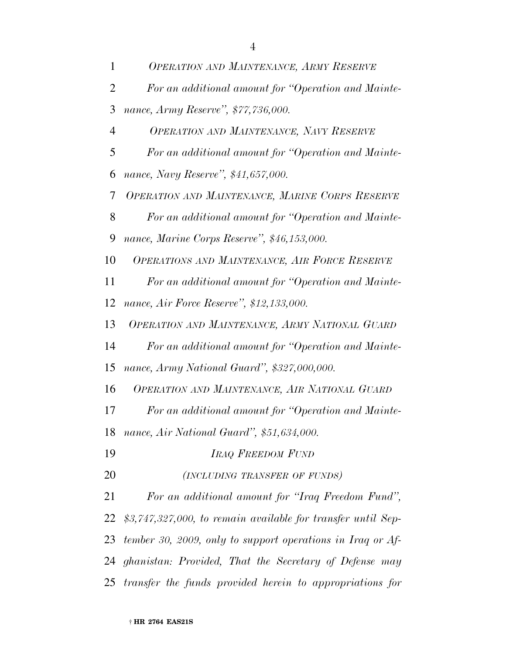| 1              | OPERATION AND MAINTENANCE, ARMY RESERVE                      |
|----------------|--------------------------------------------------------------|
| 2              | For an additional amount for "Operation and Mainte-          |
| 3              | nance, Army Reserve", \$77,736,000.                          |
| $\overline{4}$ | <b>OPERATION AND MAINTENANCE, NAVY RESERVE</b>               |
| 5              | For an additional amount for "Operation and Mainte-          |
| 6              | nance, Navy Reserve", \$41,657,000.                          |
| 7              | OPERATION AND MAINTENANCE, MARINE CORPS RESERVE              |
| 8              | For an additional amount for "Operation and Mainte-          |
| 9              | nance, Marine Corps Reserve", \$46,153,000.                  |
| 10             | <b>OPERATIONS AND MAINTENANCE, AIR FORCE RESERVE</b>         |
| 11             | For an additional amount for "Operation and Mainte-          |
| 12             | nance, Air Force Reserve", \$12,133,000.                     |
| 13             | OPERATION AND MAINTENANCE, ARMY NATIONAL GUARD               |
| 14             | For an additional amount for "Operation and Mainte-          |
| 15             | nance, Army National Guard", \$327,000,000.                  |
| 16             | OPERATION AND MAINTENANCE, AIR NATIONAL GUARD                |
| 17             | For an additional amount for "Operation and Mainte-          |
| 18             | nance, Air National Guard", \$51,634,000.                    |
| 19             | <b>IRAQ FREEDOM FUND</b>                                     |
| 20             | (INCLUDING TRANSFER OF FUNDS)                                |
| 21             | For an additional amount for "Iraq Freedom Fund",            |
| 22             | \$3,747,327,000, to remain available for transfer until Sep- |
| 23             | tember 30, 2009, only to support operations in Iraq or Af-   |
| 24             | ghanistan: Provided, That the Secretary of Defense may       |
| 25             | transfer the funds provided herein to appropriations for     |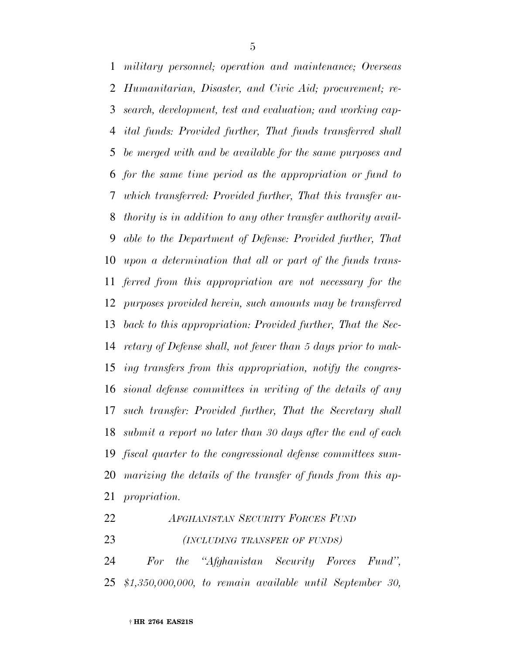*military personnel; operation and maintenance; Overseas Humanitarian, Disaster, and Civic Aid; procurement; re- search, development, test and evaluation; and working cap- ital funds: Provided further, That funds transferred shall be merged with and be available for the same purposes and for the same time period as the appropriation or fund to which transferred: Provided further, That this transfer au- thority is in addition to any other transfer authority avail- able to the Department of Defense: Provided further, That upon a determination that all or part of the funds trans- ferred from this appropriation are not necessary for the purposes provided herein, such amounts may be transferred back to this appropriation: Provided further, That the Sec- retary of Defense shall, not fewer than 5 days prior to mak- ing transfers from this appropriation, notify the congres- sional defense committees in writing of the details of any such transfer: Provided further, That the Secretary shall submit a report no later than 30 days after the end of each fiscal quarter to the congressional defense committees sum- marizing the details of the transfer of funds from this ap-propriation.*

*AFGHANISTAN SECURITY FORCES FUND*

*(INCLUDING TRANSFER OF FUNDS)*

 *For the ''Afghanistan Security Forces Fund'', \$1,350,000,000, to remain available until September 30,*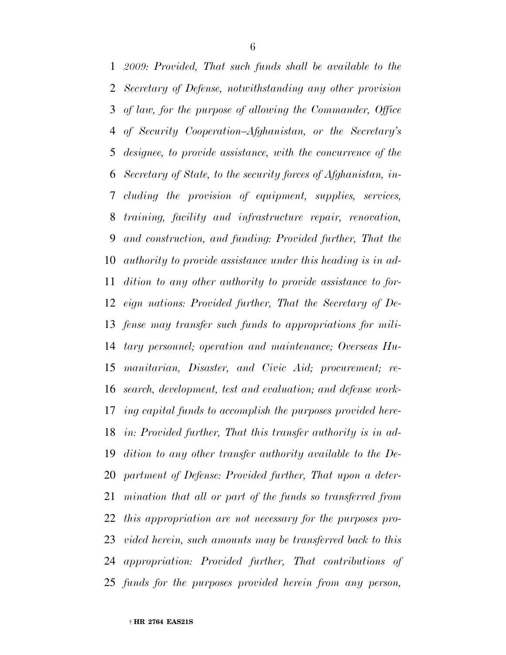*2009: Provided, That such funds shall be available to the Secretary of Defense, notwithstanding any other provision of law, for the purpose of allowing the Commander, Office of Security Cooperation–Afghanistan, or the Secretary's designee, to provide assistance, with the concurrence of the Secretary of State, to the security forces of Afghanistan, in- cluding the provision of equipment, supplies, services, training, facility and infrastructure repair, renovation, and construction, and funding: Provided further, That the authority to provide assistance under this heading is in ad- dition to any other authority to provide assistance to for- eign nations: Provided further, That the Secretary of De- fense may transfer such funds to appropriations for mili- tary personnel; operation and maintenance; Overseas Hu- manitarian, Disaster, and Civic Aid; procurement; re- search, development, test and evaluation; and defense work- ing capital funds to accomplish the purposes provided here- in: Provided further, That this transfer authority is in ad- dition to any other transfer authority available to the De- partment of Defense: Provided further, That upon a deter- mination that all or part of the funds so transferred from this appropriation are not necessary for the purposes pro- vided herein, such amounts may be transferred back to this appropriation: Provided further, That contributions of funds for the purposes provided herein from any person,*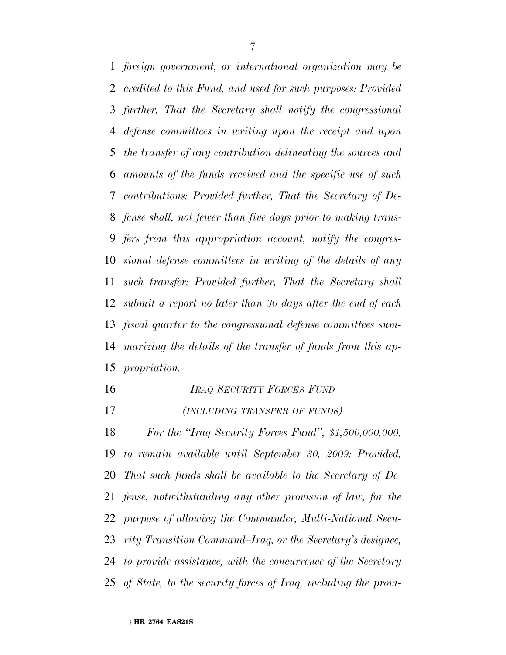*foreign government, or international organization may be credited to this Fund, and used for such purposes: Provided further, That the Secretary shall notify the congressional defense committees in writing upon the receipt and upon the transfer of any contribution delineating the sources and amounts of the funds received and the specific use of such contributions: Provided further, That the Secretary of De- fense shall, not fewer than five days prior to making trans- fers from this appropriation account, notify the congres- sional defense committees in writing of the details of any such transfer: Provided further, That the Secretary shall submit a report no later than 30 days after the end of each fiscal quarter to the congressional defense committees sum- marizing the details of the transfer of funds from this ap-propriation.*

- *IRAQ SECURITY FORCES FUND*
- *(INCLUDING TRANSFER OF FUNDS)*

 *For the ''Iraq Security Forces Fund'', \$1,500,000,000, to remain available until September 30, 2009: Provided, That such funds shall be available to the Secretary of De- fense, notwithstanding any other provision of law, for the purpose of allowing the Commander, Multi-National Secu- rity Transition Command–Iraq, or the Secretary's designee, to provide assistance, with the concurrence of the Secretary of State, to the security forces of Iraq, including the provi-*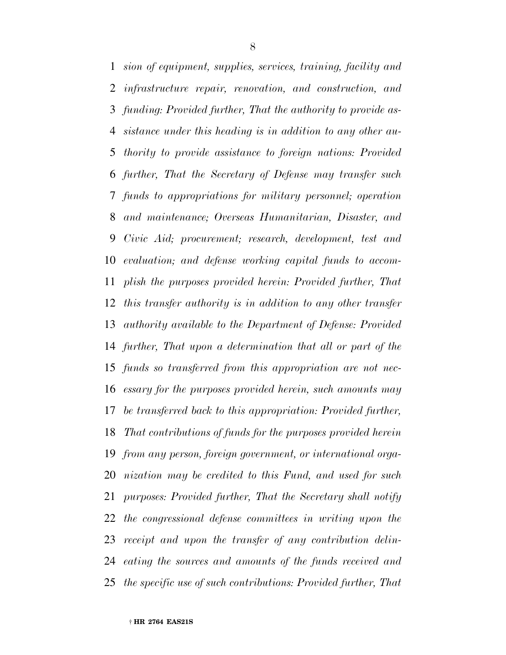*sion of equipment, supplies, services, training, facility and infrastructure repair, renovation, and construction, and funding: Provided further, That the authority to provide as- sistance under this heading is in addition to any other au- thority to provide assistance to foreign nations: Provided further, That the Secretary of Defense may transfer such funds to appropriations for military personnel; operation and maintenance; Overseas Humanitarian, Disaster, and Civic Aid; procurement; research, development, test and evaluation; and defense working capital funds to accom- plish the purposes provided herein: Provided further, That this transfer authority is in addition to any other transfer authority available to the Department of Defense: Provided further, That upon a determination that all or part of the funds so transferred from this appropriation are not nec- essary for the purposes provided herein, such amounts may be transferred back to this appropriation: Provided further, That contributions of funds for the purposes provided herein from any person, foreign government, or international orga- nization may be credited to this Fund, and used for such purposes: Provided further, That the Secretary shall notify the congressional defense committees in writing upon the receipt and upon the transfer of any contribution delin- eating the sources and amounts of the funds received and the specific use of such contributions: Provided further, That*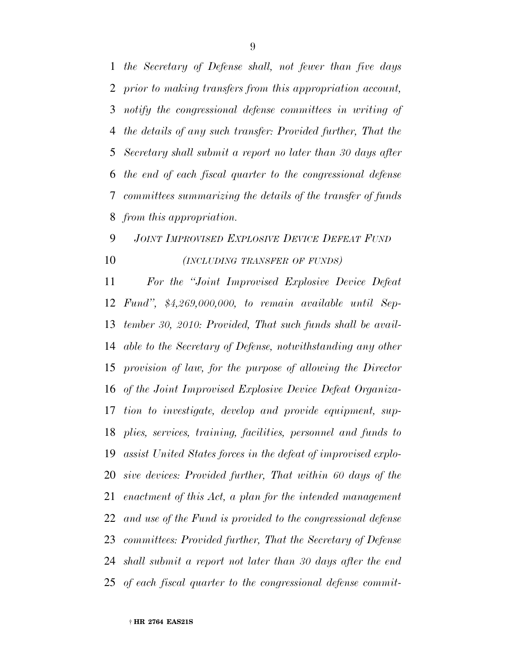*the Secretary of Defense shall, not fewer than five days prior to making transfers from this appropriation account, notify the congressional defense committees in writing of the details of any such transfer: Provided further, That the Secretary shall submit a report no later than 30 days after the end of each fiscal quarter to the congressional defense committees summarizing the details of the transfer of funds from this appropriation.*

## *JOINT IMPROVISED EXPLOSIVE DEVICE DEFEAT FUND (INCLUDING TRANSFER OF FUNDS)*

 *For the ''Joint Improvised Explosive Device Defeat Fund'', \$4,269,000,000, to remain available until Sep- tember 30, 2010: Provided, That such funds shall be avail- able to the Secretary of Defense, notwithstanding any other provision of law, for the purpose of allowing the Director of the Joint Improvised Explosive Device Defeat Organiza- tion to investigate, develop and provide equipment, sup- plies, services, training, facilities, personnel and funds to assist United States forces in the defeat of improvised explo- sive devices: Provided further, That within 60 days of the enactment of this Act, a plan for the intended management and use of the Fund is provided to the congressional defense committees: Provided further, That the Secretary of Defense shall submit a report not later than 30 days after the end of each fiscal quarter to the congressional defense commit-*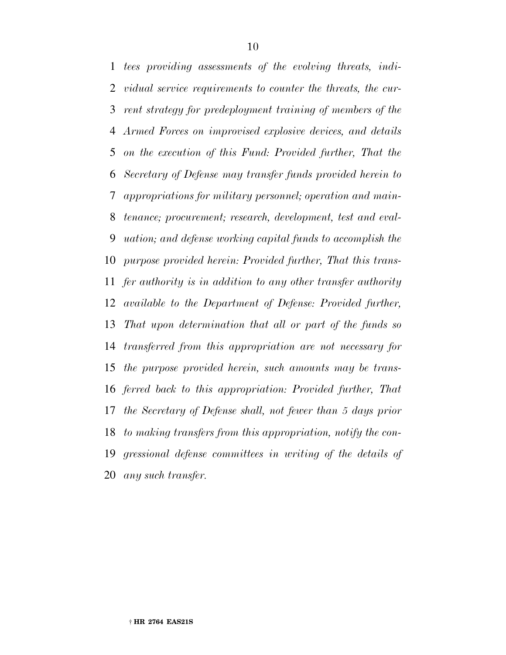*tees providing assessments of the evolving threats, indi- vidual service requirements to counter the threats, the cur- rent strategy for predeployment training of members of the Armed Forces on improvised explosive devices, and details on the execution of this Fund: Provided further, That the Secretary of Defense may transfer funds provided herein to appropriations for military personnel; operation and main- tenance; procurement; research, development, test and eval- uation; and defense working capital funds to accomplish the purpose provided herein: Provided further, That this trans- fer authority is in addition to any other transfer authority available to the Department of Defense: Provided further, That upon determination that all or part of the funds so transferred from this appropriation are not necessary for the purpose provided herein, such amounts may be trans- ferred back to this appropriation: Provided further, That the Secretary of Defense shall, not fewer than 5 days prior to making transfers from this appropriation, notify the con- gressional defense committees in writing of the details of any such transfer.*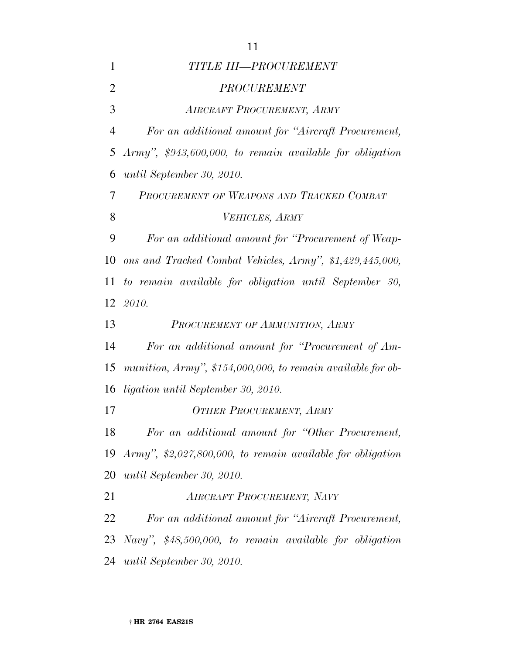| $\mathbf{1}$   | TITLE III-PROCUREMENT                                       |  |  |  |  |  |
|----------------|-------------------------------------------------------------|--|--|--|--|--|
| $\overline{2}$ | <b>PROCUREMENT</b>                                          |  |  |  |  |  |
| 3              | <b>AIRCRAFT PROCUREMENT, ARMY</b>                           |  |  |  |  |  |
| $\overline{4}$ | For an additional amount for "Aircraft Procurement,         |  |  |  |  |  |
| 5              | $Army$ ", \$943,600,000, to remain available for obligation |  |  |  |  |  |
| 6              | until September 30, 2010.                                   |  |  |  |  |  |
| 7              | PROCUREMENT OF WEAPONS AND TRACKED COMBAT                   |  |  |  |  |  |
| 8              | VEHICLES, ARMY                                              |  |  |  |  |  |
| 9              | For an additional amount for "Procurement of Weap-          |  |  |  |  |  |
| 10             | ons and Tracked Combat Vehicles, Army", \$1,429,445,000,    |  |  |  |  |  |
| 11             | to remain available for obligation until September 30,      |  |  |  |  |  |
| 12             | 2010.                                                       |  |  |  |  |  |
|                |                                                             |  |  |  |  |  |
| 13             | PROCUREMENT OF AMMUNITION, ARMY                             |  |  |  |  |  |
| 14             | For an additional amount for "Procurement of Am-            |  |  |  |  |  |
| 15             | munition, Army", \$154,000,000, to remain available for ob- |  |  |  |  |  |
| 16             | ligation until September 30, 2010.                          |  |  |  |  |  |
| 17             | <b>OTHER PROCUREMENT, ARMY</b>                              |  |  |  |  |  |
| 18             | For an additional amount for "Other Procurement,            |  |  |  |  |  |
| 19             | Army", $$2,027,800,000,$ to remain available for obligation |  |  |  |  |  |
| 20             | until September 30, 2010.                                   |  |  |  |  |  |
| 21             | <b>AIRCRAFT PROCUREMENT, NAVY</b>                           |  |  |  |  |  |
| 22             | For an additional amount for "Aircraft Procurement,         |  |  |  |  |  |
| 23             | Navy", \$48,500,000, to remain available for obligation     |  |  |  |  |  |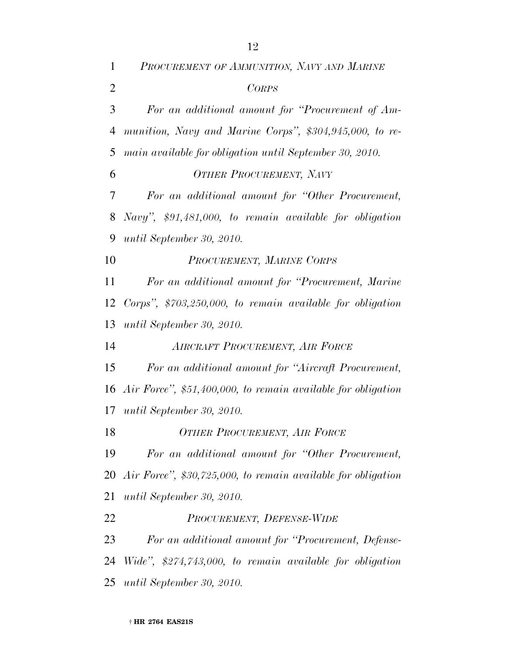| $\mathbf{1}$   | PROCUREMENT OF AMMUNITION, NAVY AND MARINE                      |
|----------------|-----------------------------------------------------------------|
| $\overline{2}$ | <b>CORPS</b>                                                    |
| 3              | For an additional amount for "Procurement of Am-                |
| $\overline{4}$ | munition, Navy and Marine Corps", \$304,945,000, to re-         |
| 5              | main available for obligation until September 30, 2010.         |
| 6              | <b>OTHER PROCUREMENT, NAVY</b>                                  |
| 7              | For an additional amount for "Other Procurement,                |
| 8              | Navy", $$91,481,000$ , to remain available for obligation       |
| 9              | until September 30, 2010.                                       |
| 10             | PROCUREMENT, MARINE CORPS                                       |
| 11             | For an additional amount for "Procurement, Marine"              |
| 12             | Corps", $$703,250,000, to remain available for obligation$      |
| 13             | until September 30, 2010.                                       |
| 14             | AIRCRAFT PROCUREMENT, AIR FORCE                                 |
| 15             | For an additional amount for "Aircraft Procurement,             |
|                | 16 Air Force", \$51,400,000, to remain available for obligation |
| 17             | until September 30, 2010.                                       |
| 18             | <b>OTHER PROCUREMENT, AIR FORCE</b>                             |
| 19             | For an additional amount for "Other Procurement,                |
| 20             | Air Force", \$30,725,000, to remain available for obligation    |
| 21             | until September 30, 2010.                                       |
| 22             | PROCUREMENT, DEFENSE-WIDE                                       |
| 23             | For an additional amount for "Procurement, Defense-             |
| 24             | Wide", \$274,743,000, to remain available for obligation        |
| 25             | until September 30, 2010.                                       |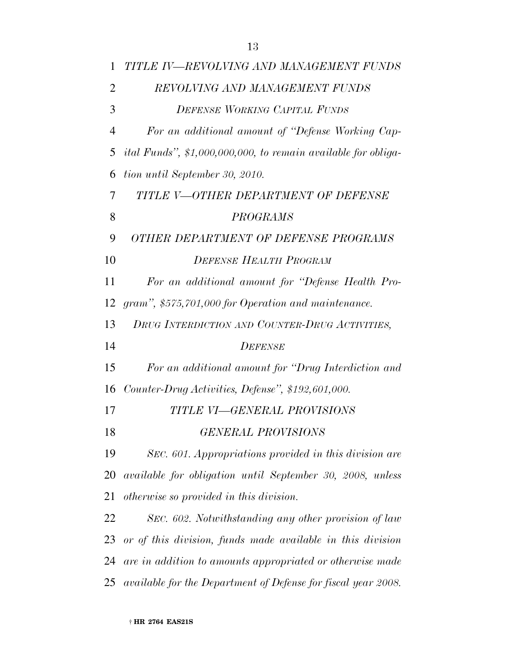| 1              | TITLE IV—REVOLVING AND MANAGEMENT FUNDS                               |  |  |  |  |
|----------------|-----------------------------------------------------------------------|--|--|--|--|
| $\overline{2}$ | REVOLVING AND MANAGEMENT FUNDS                                        |  |  |  |  |
| 3              | <b>DEFENSE WORKING CAPITAL FUNDS</b>                                  |  |  |  |  |
| $\overline{4}$ | For an additional amount of "Defense Working Cap-                     |  |  |  |  |
| 5              | <i>ital Funds</i> ", \$1,000,000,000, to remain available for obliga- |  |  |  |  |
| 6              | tion until September 30, 2010.                                        |  |  |  |  |
| 7              | TITLE V-OTHER DEPARTMENT OF DEFENSE                                   |  |  |  |  |
| 8              | PROGRAMS                                                              |  |  |  |  |
| 9              | OTHER DEPARTMENT OF DEFENSE PROGRAMS                                  |  |  |  |  |
| 10             | <b>DEFENSE HEALTH PROGRAM</b>                                         |  |  |  |  |
| 11             | For an additional amount for "Defense Health Pro-                     |  |  |  |  |
| 12             | gram", \$575,701,000 for Operation and maintenance.                   |  |  |  |  |
| 13             | DRUG INTERDICTION AND COUNTER-DRUG ACTIVITIES,                        |  |  |  |  |
| 14             | <b>DEFENSE</b>                                                        |  |  |  |  |
| 15             | For an additional amount for "Drug Interdiction and                   |  |  |  |  |
| 16             | Counter-Drug Activities, Defense", \$192,601,000.                     |  |  |  |  |
| 17             | TITLE VI—GENERAL PROVISIONS                                           |  |  |  |  |
| 18             | <b>GENERAL PROVISIONS</b>                                             |  |  |  |  |
| 19             | SEC. 601. Appropriations provided in this division are                |  |  |  |  |
| 20             | available for obligation until September 30, 2008, unless             |  |  |  |  |
| 21             | otherwise so provided in this division.                               |  |  |  |  |
| 22             | SEC. 602. Notwithstanding any other provision of law                  |  |  |  |  |
| 23             | or of this division, funds made available in this division            |  |  |  |  |
| 24             | are in addition to amounts appropriated or otherwise made             |  |  |  |  |
| 25             | available for the Department of Defense for fiscal year 2008.         |  |  |  |  |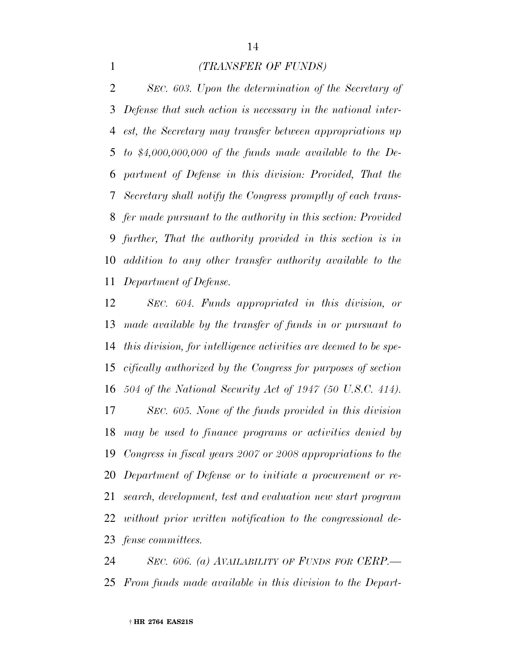## *(TRANSFER OF FUNDS)*

 *SEC. 603. Upon the determination of the Secretary of Defense that such action is necessary in the national inter- est, the Secretary may transfer between appropriations up to \$4,000,000,000 of the funds made available to the De- partment of Defense in this division: Provided, That the Secretary shall notify the Congress promptly of each trans- fer made pursuant to the authority in this section: Provided further, That the authority provided in this section is in addition to any other transfer authority available to the Department of Defense.*

 *SEC. 604. Funds appropriated in this division, or made available by the transfer of funds in or pursuant to this division, for intelligence activities are deemed to be spe- cifically authorized by the Congress for purposes of section 504 of the National Security Act of 1947 (50 U.S.C. 414). SEC. 605. None of the funds provided in this division may be used to finance programs or activities denied by Congress in fiscal years 2007 or 2008 appropriations to the Department of Defense or to initiate a procurement or re- search, development, test and evaluation new start program without prior written notification to the congressional de-fense committees.*

 *SEC. 606. (a) AVAILABILITY OF FUNDS FOR CERP.— From funds made available in this division to the Depart-*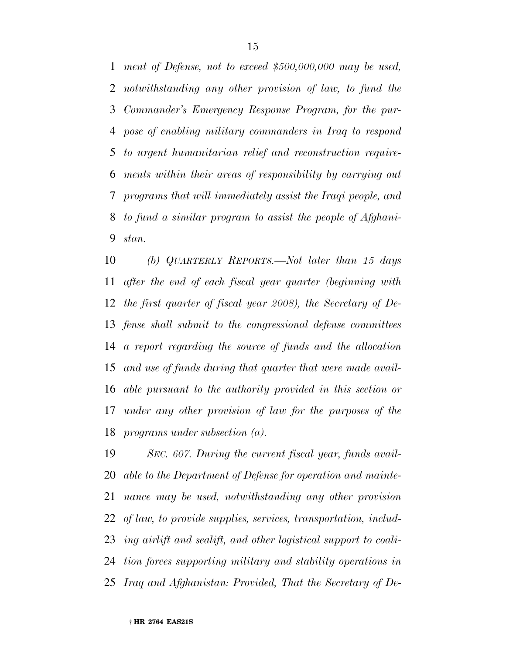*ment of Defense, not to exceed \$500,000,000 may be used, notwithstanding any other provision of law, to fund the Commander's Emergency Response Program, for the pur- pose of enabling military commanders in Iraq to respond to urgent humanitarian relief and reconstruction require- ments within their areas of responsibility by carrying out programs that will immediately assist the Iraqi people, and to fund a similar program to assist the people of Afghani-stan.*

 *(b) QUARTERLY REPORTS.—Not later than 15 days after the end of each fiscal year quarter (beginning with the first quarter of fiscal year 2008), the Secretary of De- fense shall submit to the congressional defense committees a report regarding the source of funds and the allocation and use of funds during that quarter that were made avail- able pursuant to the authority provided in this section or under any other provision of law for the purposes of the programs under subsection (a).*

 *SEC. 607. During the current fiscal year, funds avail- able to the Department of Defense for operation and mainte- nance may be used, notwithstanding any other provision of law, to provide supplies, services, transportation, includ- ing airlift and sealift, and other logistical support to coali- tion forces supporting military and stability operations in Iraq and Afghanistan: Provided, That the Secretary of De-*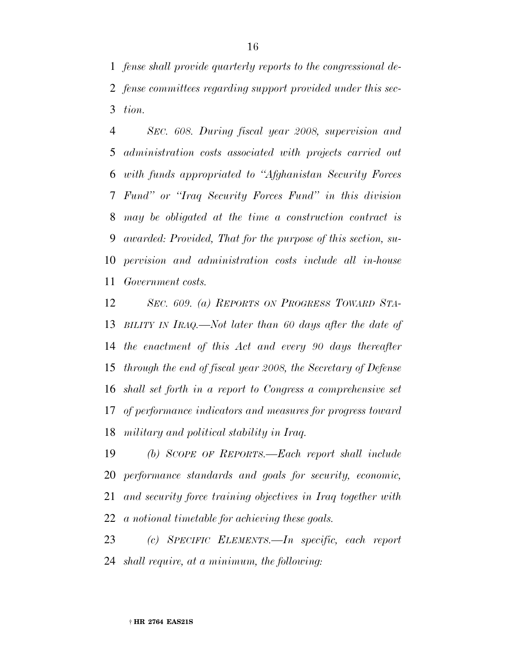*fense shall provide quarterly reports to the congressional de- fense committees regarding support provided under this sec-tion.*

 *SEC. 608. During fiscal year 2008, supervision and administration costs associated with projects carried out with funds appropriated to ''Afghanistan Security Forces Fund'' or ''Iraq Security Forces Fund'' in this division may be obligated at the time a construction contract is awarded: Provided, That for the purpose of this section, su- pervision and administration costs include all in-house Government costs.*

 *SEC. 609. (a) REPORTS ON PROGRESS TOWARD STA- BILITY IN IRAQ.—Not later than 60 days after the date of the enactment of this Act and every 90 days thereafter through the end of fiscal year 2008, the Secretary of Defense shall set forth in a report to Congress a comprehensive set of performance indicators and measures for progress toward military and political stability in Iraq.*

 *(b) SCOPE OF REPORTS.—Each report shall include performance standards and goals for security, economic, and security force training objectives in Iraq together with a notional timetable for achieving these goals.*

 *(c) SPECIFIC ELEMENTS.—In specific, each report shall require, at a minimum, the following:*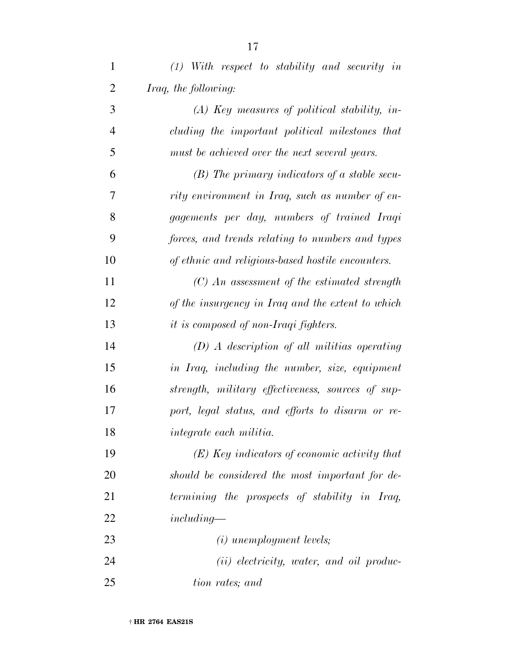| $\mathbf{1}$   | $(1)$ With respect to stability and security in   |
|----------------|---------------------------------------------------|
| $\overline{2}$ | Iraq, the following:                              |
| 3              | $(A)$ Key measures of political stability, in-    |
| $\overline{4}$ | cluding the important political milestones that   |
| 5              | must be achieved over the next several years.     |
| 6              | $(B)$ The primary indicators of a stable secu-    |
| 7              | rity environment in Iraq, such as number of en-   |
| 8              | gagements per day, numbers of trained Iraqi       |
| 9              | forces, and trends relating to numbers and types  |
| 10             | of ethnic and religious-based hostile encounters. |
| 11             | $(C)$ An assessment of the estimated strength     |
| 12             | of the insurgency in Iraq and the extent to which |
| 13             | <i>it is composed of non-Iraqi fighters.</i>      |
| 14             | $(D)$ A description of all militias operating     |
| 15             | in Iraq, including the number, size, equipment    |
| 16             | strength, military effectiveness, sources of sup- |
| 17             | port, legal status, and efforts to disarm or re-  |
| 18             | integrate each militia.                           |
| 19             | $(E)$ Key indicators of economic activity that    |
| 20             | should be considered the most important for de-   |
| 21             | termining the prospects of stability in Iraq,     |
| 22             | $including-$                                      |
| 23             | $(i)$ unemployment levels;                        |
| 24             | $(ii)$ electricity, water, and oil produc-        |
| 25             | tion rates; and                                   |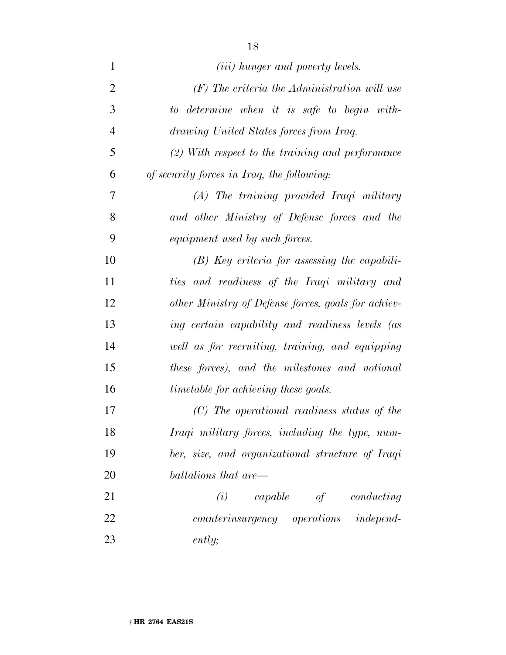| $\mathbf{1}$   | ( <i>iii</i> ) hunger and poverty levels.           |
|----------------|-----------------------------------------------------|
| $\overline{2}$ | $(F)$ The criteria the Administration will use      |
| 3              | to determine when it is safe to begin with-         |
| $\overline{4}$ | drawing United States forces from Iraq.             |
| 5              | $(2)$ With respect to the training and performance  |
| 6              | of security forces in Iraq, the following:          |
| 7              | (A) The training provided Iraqi military            |
| 8              | and other Ministry of Defense forces and the        |
| 9              | equipment used by such forces.                      |
| 10             | $(B)$ Key criteria for assessing the capabili-      |
| 11             | ties and readiness of the Iraqi military and        |
| 12             | other Ministry of Defense forces, goals for achiev- |
| 13             | ing certain capability and readiness levels (as     |
| 14             | well as for recruiting, training, and equipping     |
| 15             | these forces), and the milestones and notional      |
| 16             | <i>timetable for achieving these goals.</i>         |
| 17             | (C) The operational readiness status of the         |
| 18             | Iraqi military forces, including the type, num-     |
| 19             | ber, size, and organizational structure of Iraqi    |
| 20             | battalions that are—                                |
| 21             | capable of conducting<br>(i)                        |
| 22             | counterinsurgency operations independ-              |
| 23             | ently;                                              |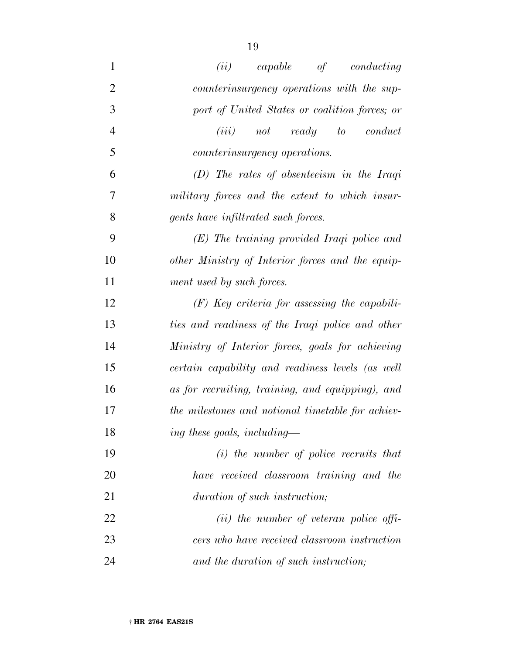| $\mathbf{1}$   | (ii)<br>capable<br>of<br>conducting               |  |  |  |  |  |  |
|----------------|---------------------------------------------------|--|--|--|--|--|--|
| $\overline{2}$ | counterinsurgency operations with the sup-        |  |  |  |  |  |  |
| 3              | port of United States or coalition forces; or     |  |  |  |  |  |  |
| $\overline{4}$ | (iii)<br>ready to<br>conduct<br>not               |  |  |  |  |  |  |
| 5              | counterinsurgency operations.                     |  |  |  |  |  |  |
| 6              | $(D)$ The rates of absenteeism in the Iraqi       |  |  |  |  |  |  |
| 7              | military forces and the extent to which insur-    |  |  |  |  |  |  |
| 8              | gents have infiltrated such forces.               |  |  |  |  |  |  |
| 9              | (E) The training provided Iraqi police and        |  |  |  |  |  |  |
| 10             | other Ministry of Interior forces and the equip-  |  |  |  |  |  |  |
| 11             | ment used by such forces.                         |  |  |  |  |  |  |
| 12             | $(F)$ Key criteria for assessing the capabili-    |  |  |  |  |  |  |
| 13             | ties and readiness of the Iraqi police and other  |  |  |  |  |  |  |
| 14             | Ministry of Interior forces, goals for achieving  |  |  |  |  |  |  |
| 15             | certain capability and readiness levels (as well  |  |  |  |  |  |  |
| 16             | as for recruiting, training, and equipping), and  |  |  |  |  |  |  |
| 17             | the milestones and notional timetable for achiev- |  |  |  |  |  |  |
| 18             | ing these goals, including-                       |  |  |  |  |  |  |
| 19             | $(i)$ the number of police recruits that          |  |  |  |  |  |  |
| 20             | have received classroom training and the          |  |  |  |  |  |  |
| 21             | duration of such instruction;                     |  |  |  |  |  |  |
| 22             | $(ii)$ the number of veteran police offi-         |  |  |  |  |  |  |
| 23             | cers who have received classroom instruction      |  |  |  |  |  |  |
| 24             | and the duration of such instruction;             |  |  |  |  |  |  |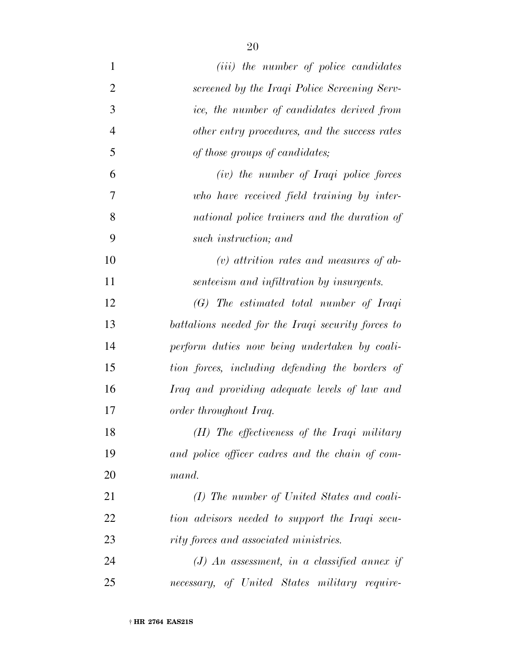| $\mathbf{1}$   | ( <i>iii</i> ) the number of police candidates     |
|----------------|----------------------------------------------------|
| $\overline{2}$ | screened by the Iraqi Police Screening Serv-       |
| 3              | ice, the number of candidates derived from         |
| $\overline{4}$ | other entry procedures, and the success rates      |
| 5              | of those groups of candidates;                     |
| 6              | (iv) the number of Iraqi police forces             |
| 7              | who have received field training by inter-         |
| 8              | national police trainers and the duration of       |
| 9              | such instruction; and                              |
| 10             | $(v)$ attrition rates and measures of ab-          |
| 11             | senteeism and infiltration by insurgents.          |
| 12             | (G) The estimated total number of Iraqi            |
| 13             | battalions needed for the Iraqi security forces to |
| 14             | perform duties now being undertaken by coali-      |
| 15             | tion forces, including defending the borders of    |
| 16             | Iraq and providing adequate levels of law and      |
| 17             | order throughout Iraq.                             |
| 18             | (H) The effectiveness of the Iraqi military        |
| 19             | and police officer cadres and the chain of com-    |
| 20             | mand.                                              |
| 21             | (I) The number of United States and coali-         |
| 22             | tion advisors needed to support the Iraqi secu-    |
| 23             | rity forces and associated ministries.             |
| 24             | $(J)$ An assessment, in a classified annex if      |
| 25             | necessary, of United States military require-      |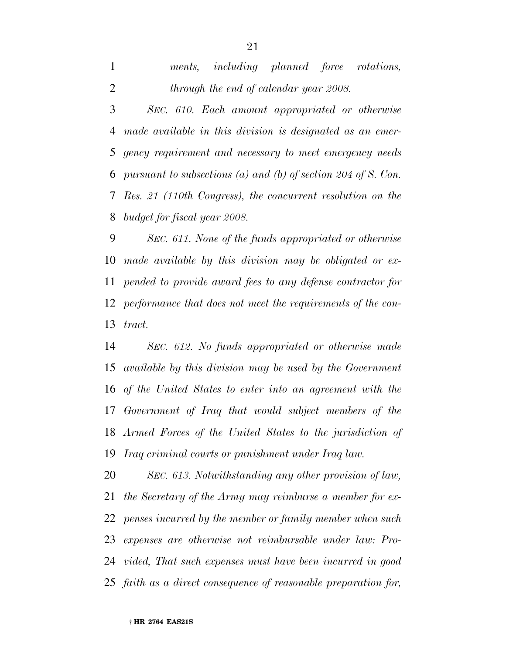|  | ments, including planned force rotations, |  |  |
|--|-------------------------------------------|--|--|
|  | through the end of calendar year 2008.    |  |  |

 *SEC. 610. Each amount appropriated or otherwise made available in this division is designated as an emer- gency requirement and necessary to meet emergency needs pursuant to subsections (a) and (b) of section 204 of S. Con. Res. 21 (110th Congress), the concurrent resolution on the budget for fiscal year 2008.*

 *SEC. 611. None of the funds appropriated or otherwise made available by this division may be obligated or ex- pended to provide award fees to any defense contractor for performance that does not meet the requirements of the con-tract.*

 *SEC. 612. No funds appropriated or otherwise made available by this division may be used by the Government of the United States to enter into an agreement with the Government of Iraq that would subject members of the Armed Forces of the United States to the jurisdiction of Iraq criminal courts or punishment under Iraq law.*

 *SEC. 613. Notwithstanding any other provision of law, the Secretary of the Army may reimburse a member for ex- penses incurred by the member or family member when such expenses are otherwise not reimbursable under law: Pro- vided, That such expenses must have been incurred in good faith as a direct consequence of reasonable preparation for,*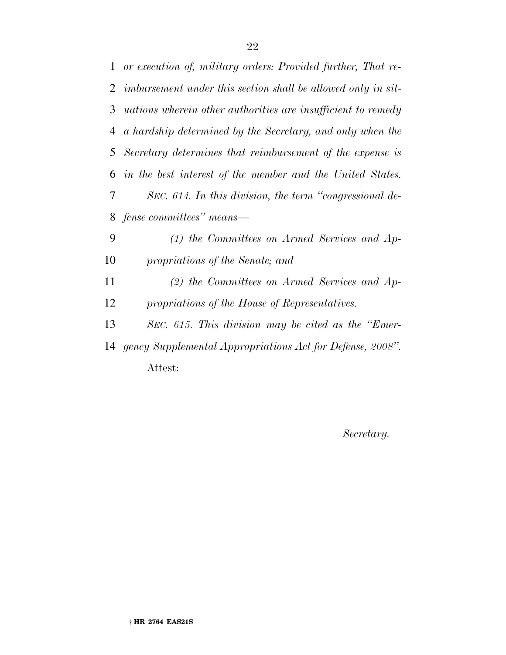*Secretary.*